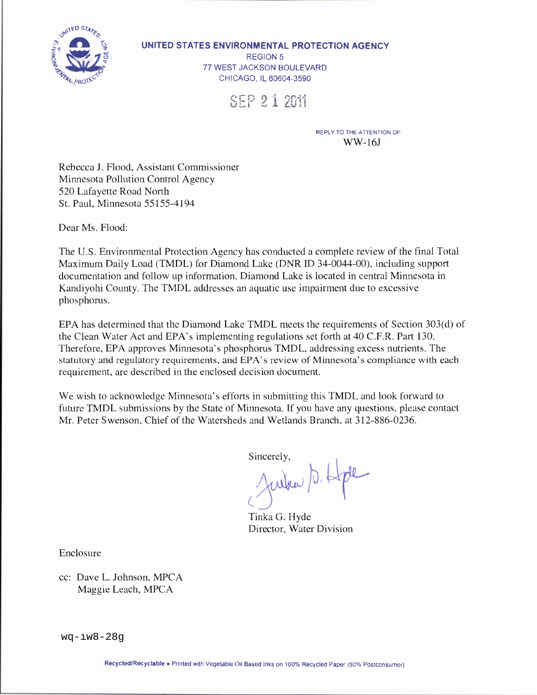

#### UNITED STATES ENVIRONMENTAL PROTECTION AGENCY

REGION 5 77 WEST JACKSON BOULEVARD CHICAGO, IL 60604-3590

SEP 21 2011

REPLY TO THE ATTENTION OF:  $WW-16J$ 

Rebecca J. Flood, Assistant Commissioner Minnesota Pollution Control Agency 520 Lafayette Road North St. Paul. Minnesota 55155-4194

Dear Ms. Flood:

The U.S. Environmental Protection Agency has conducted a complete review of the final Total Maximum Daily Load (TMDL) for Diamond Lake (DNR ID 34-0044-00), including support documentation and follow up information. Diamond Lake is located in central Minnesota in Kandiyohi County. The TMDL addresses an aquatic use impairment due to excessive phosphorus.

EPA has determined that the Diamond Lake TMDL meets the requirements of Section 303(d) of the Clean Water Act and EPA's implementing regulations set forth at 40 C.F.R. Part 130. Therefore, EPA approves Minnesota's phosphorus TMDL, addressing excess nutrients. The statutory and regulatory requirements, and EPA's review of Minnesota's compliance with each requirement, are described in the enclosed decision document.

We wish to acknowledge Minnesota's efforts in submitting this TMDL and look forward to future TMDL submissions by the State of Minnesota. If you have any questions, please contact Mr. Peter Swenson, Chief of the Watersheds and Wetlands Branch, at 312-886-0236.

Sincerely,

Julia D. Hpe

Tinka G. Hyde Director, Water Division

Enclosure

cc: Dave L. Johnson, MPCA Maggie Leach, MPCA

 $wa-iw8-28q$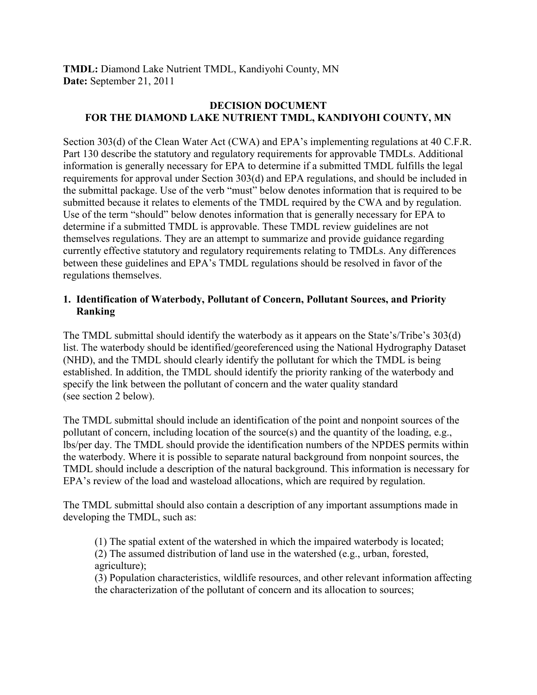**TMDL:** Diamond Lake Nutrient TMDL, Kandiyohi County, MN **Date:** September 21, 2011

# **DECISION DOCUMENT FOR THE DIAMOND LAKE NUTRIENT TMDL, KANDIYOHI COUNTY, MN**

Section 303(d) of the Clean Water Act (CWA) and EPA's implementing regulations at 40 C.F.R. Part 130 describe the statutory and regulatory requirements for approvable TMDLs. Additional information is generally necessary for EPA to determine if a submitted TMDL fulfills the legal requirements for approval under Section 303(d) and EPA regulations, and should be included in the submittal package. Use of the verb "must" below denotes information that is required to be submitted because it relates to elements of the TMDL required by the CWA and by regulation. Use of the term "should" below denotes information that is generally necessary for EPA to determine if a submitted TMDL is approvable. These TMDL review guidelines are not themselves regulations. They are an attempt to summarize and provide guidance regarding currently effective statutory and regulatory requirements relating to TMDLs. Any differences between these guidelines and EPA's TMDL regulations should be resolved in favor of the regulations themselves.

# **1. Identification of Waterbody, Pollutant of Concern, Pollutant Sources, and Priority Ranking**

The TMDL submittal should identify the waterbody as it appears on the State's/Tribe's 303(d) list. The waterbody should be identified/georeferenced using the National Hydrography Dataset (NHD), and the TMDL should clearly identify the pollutant for which the TMDL is being established. In addition, the TMDL should identify the priority ranking of the waterbody and specify the link between the pollutant of concern and the water quality standard (see section 2 below).

The TMDL submittal should include an identification of the point and nonpoint sources of the pollutant of concern, including location of the source(s) and the quantity of the loading, e.g., lbs/per day. The TMDL should provide the identification numbers of the NPDES permits within the waterbody. Where it is possible to separate natural background from nonpoint sources, the TMDL should include a description of the natural background. This information is necessary for EPA's review of the load and wasteload allocations, which are required by regulation.

The TMDL submittal should also contain a description of any important assumptions made in developing the TMDL, such as:

(1) The spatial extent of the watershed in which the impaired waterbody is located;

(2) The assumed distribution of land use in the watershed (e.g., urban, forested, agriculture);

(3) Population characteristics, wildlife resources, and other relevant information affecting the characterization of the pollutant of concern and its allocation to sources;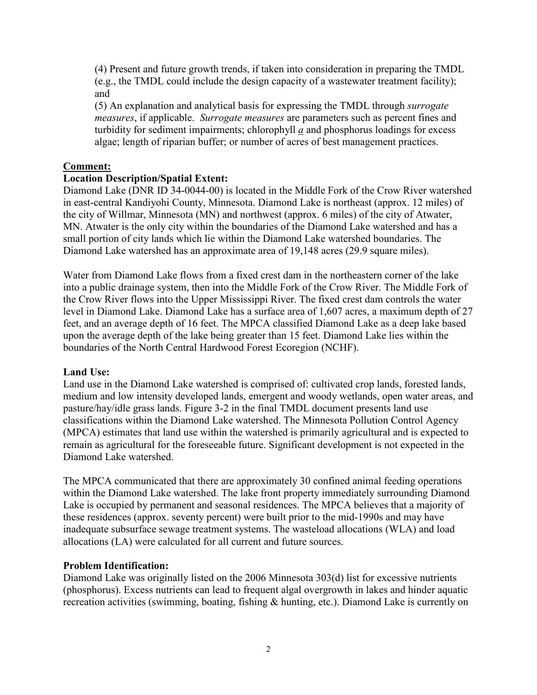(4) Present and future growth trends, if taken into consideration in preparing the TMDL (e.g., the TMDL could include the design capacity of a wastewater treatment facility); and

(5) An explanation and analytical basis for expressing the TMDL through *surrogate measures*, if applicable. *Surrogate measures* are parameters such as percent fines and turbidity for sediment impairments; chlorophyll *a* and phosphorus loadings for excess algae; length of riparian buffer; or number of acres of best management practices.

# **Comment:**

# **Location Description/Spatial Extent:**

Diamond Lake (DNR ID 34-0044-00) is located in the Middle Fork of the Crow River watershed in east-central Kandiyohi County, Minnesota. Diamond Lake is northeast (approx. 12 miles) of the city of Willmar, Minnesota (MN) and northwest (approx. 6 miles) of the city of Atwater, MN. Atwater is the only city within the boundaries of the Diamond Lake watershed and has a small portion of city lands which lie within the Diamond Lake watershed boundaries. The Diamond Lake watershed has an approximate area of 19,148 acres (29.9 square miles).

Water from Diamond Lake flows from a fixed crest dam in the northeastern corner of the lake into a public drainage system, then into the Middle Fork of the Crow River. The Middle Fork of the Crow River flows into the Upper Mississippi River. The fixed crest dam controls the water level in Diamond Lake. Diamond Lake has a surface area of 1,607 acres, a maximum depth of 27 feet, and an average depth of 16 feet. The MPCA classified Diamond Lake as a deep lake based upon the average depth of the lake being greater than 15 feet. Diamond Lake lies within the boundaries of the North Central Hardwood Forest Ecoregion (NCHF).

# **Land Use:**

Land use in the Diamond Lake watershed is comprised of: cultivated crop lands, forested lands, medium and low intensity developed lands, emergent and woody wetlands, open water areas, and pasture/hay/idle grass lands. Figure 3-2 in the final TMDL document presents land use classifications within the Diamond Lake watershed. The Minnesota Pollution Control Agency (MPCA) estimates that land use within the watershed is primarily agricultural and is expected to remain as agricultural for the foreseeable future. Significant development is not expected in the Diamond Lake watershed.

The MPCA communicated that there are approximately 30 confined animal feeding operations within the Diamond Lake watershed. The lake front property immediately surrounding Diamond Lake is occupied by permanent and seasonal residences. The MPCA believes that a majority of these residences (approx. seventy percent) were built prior to the mid-1990s and may have inadequate subsurface sewage treatment systems. The wasteload allocations (WLA) and load allocations (LA) were calculated for all current and future sources.

### **Problem Identification:**

Diamond Lake was originally listed on the 2006 Minnesota 303(d) list for excessive nutrients (phosphorus). Excess nutrients can lead to frequent algal overgrowth in lakes and hinder aquatic recreation activities (swimming, boating, fishing & hunting, etc.). Diamond Lake is currently on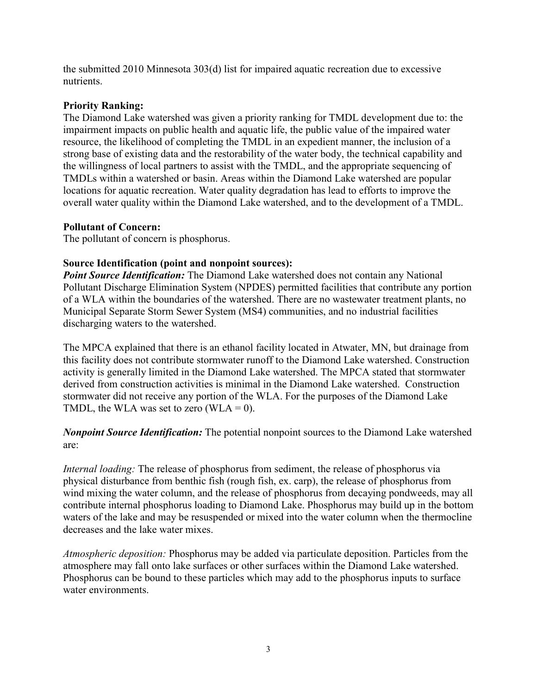the submitted 2010 Minnesota 303(d) list for impaired aquatic recreation due to excessive nutrients.

### **Priority Ranking:**

The Diamond Lake watershed was given a priority ranking for TMDL development due to: the impairment impacts on public health and aquatic life, the public value of the impaired water resource, the likelihood of completing the TMDL in an expedient manner, the inclusion of a strong base of existing data and the restorability of the water body, the technical capability and the willingness of local partners to assist with the TMDL, and the appropriate sequencing of TMDLs within a watershed or basin. Areas within the Diamond Lake watershed are popular locations for aquatic recreation. Water quality degradation has lead to efforts to improve the overall water quality within the Diamond Lake watershed, and to the development of a TMDL.

### **Pollutant of Concern:**

The pollutant of concern is phosphorus.

### **Source Identification (point and nonpoint sources):**

*Point Source Identification:* The Diamond Lake watershed does not contain any National Pollutant Discharge Elimination System (NPDES) permitted facilities that contribute any portion of a WLA within the boundaries of the watershed. There are no wastewater treatment plants, no Municipal Separate Storm Sewer System (MS4) communities, and no industrial facilities discharging waters to the watershed.

The MPCA explained that there is an ethanol facility located in Atwater, MN, but drainage from this facility does not contribute stormwater runoff to the Diamond Lake watershed. Construction activity is generally limited in the Diamond Lake watershed. The MPCA stated that stormwater derived from construction activities is minimal in the Diamond Lake watershed. Construction stormwater did not receive any portion of the WLA. For the purposes of the Diamond Lake TMDL, the WLA was set to zero (WLA =  $0$ ).

*Nonpoint Source Identification:* The potential nonpoint sources to the Diamond Lake watershed are:

*Internal loading:* The release of phosphorus from sediment, the release of phosphorus via physical disturbance from benthic fish (rough fish, ex. carp), the release of phosphorus from wind mixing the water column, and the release of phosphorus from decaying pondweeds, may all contribute internal phosphorus loading to Diamond Lake. Phosphorus may build up in the bottom waters of the lake and may be resuspended or mixed into the water column when the thermocline decreases and the lake water mixes.

*Atmospheric deposition:* Phosphorus may be added via particulate deposition. Particles from the atmosphere may fall onto lake surfaces or other surfaces within the Diamond Lake watershed. Phosphorus can be bound to these particles which may add to the phosphorus inputs to surface water environments.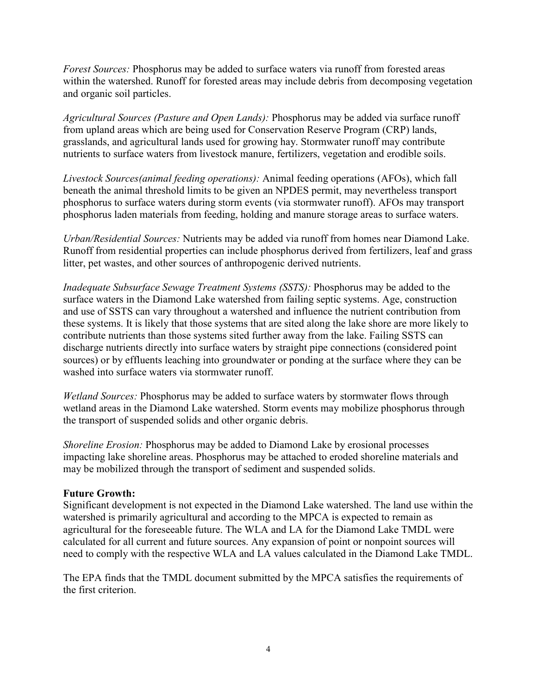*Forest Sources:* Phosphorus may be added to surface waters via runoff from forested areas within the watershed. Runoff for forested areas may include debris from decomposing vegetation and organic soil particles.

*Agricultural Sources (Pasture and Open Lands):* Phosphorus may be added via surface runoff from upland areas which are being used for Conservation Reserve Program (CRP) lands, grasslands, and agricultural lands used for growing hay. Stormwater runoff may contribute nutrients to surface waters from livestock manure, fertilizers, vegetation and erodible soils.

*Livestock Sources(animal feeding operations):* Animal feeding operations (AFOs), which fall beneath the animal threshold limits to be given an NPDES permit, may nevertheless transport phosphorus to surface waters during storm events (via stormwater runoff). AFOs may transport phosphorus laden materials from feeding, holding and manure storage areas to surface waters.

*Urban/Residential Sources:* Nutrients may be added via runoff from homes near Diamond Lake. Runoff from residential properties can include phosphorus derived from fertilizers, leaf and grass litter, pet wastes, and other sources of anthropogenic derived nutrients.

*Inadequate Subsurface Sewage Treatment Systems (SSTS):* Phosphorus may be added to the surface waters in the Diamond Lake watershed from failing septic systems. Age, construction and use of SSTS can vary throughout a watershed and influence the nutrient contribution from these systems. It is likely that those systems that are sited along the lake shore are more likely to contribute nutrients than those systems sited further away from the lake. Failing SSTS can discharge nutrients directly into surface waters by straight pipe connections (considered point sources) or by effluents leaching into groundwater or ponding at the surface where they can be washed into surface waters via stormwater runoff.

*Wetland Sources:* Phosphorus may be added to surface waters by stormwater flows through wetland areas in the Diamond Lake watershed. Storm events may mobilize phosphorus through the transport of suspended solids and other organic debris.

*Shoreline Erosion:* Phosphorus may be added to Diamond Lake by erosional processes impacting lake shoreline areas. Phosphorus may be attached to eroded shoreline materials and may be mobilized through the transport of sediment and suspended solids.

### **Future Growth:**

Significant development is not expected in the Diamond Lake watershed. The land use within the watershed is primarily agricultural and according to the MPCA is expected to remain as agricultural for the foreseeable future. The WLA and LA for the Diamond Lake TMDL were calculated for all current and future sources. Any expansion of point or nonpoint sources will need to comply with the respective WLA and LA values calculated in the Diamond Lake TMDL.

The EPA finds that the TMDL document submitted by the MPCA satisfies the requirements of the first criterion.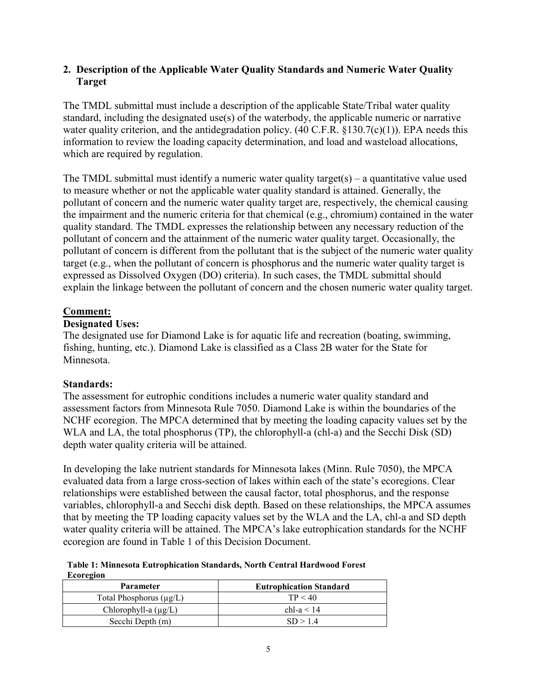### **2. Description of the Applicable Water Quality Standards and Numeric Water Quality Target**

The TMDL submittal must include a description of the applicable State/Tribal water quality standard, including the designated use(s) of the waterbody, the applicable numeric or narrative water quality criterion, and the antidegradation policy.  $(40 \text{ C.F.R. } §130.7(c)(1))$ . EPA needs this information to review the loading capacity determination, and load and wasteload allocations, which are required by regulation.

The TMDL submittal must identify a numeric water quality target(s) – a quantitative value used to measure whether or not the applicable water quality standard is attained. Generally, the pollutant of concern and the numeric water quality target are, respectively, the chemical causing the impairment and the numeric criteria for that chemical (e.g., chromium) contained in the water quality standard. The TMDL expresses the relationship between any necessary reduction of the pollutant of concern and the attainment of the numeric water quality target. Occasionally, the pollutant of concern is different from the pollutant that is the subject of the numeric water quality target (e.g., when the pollutant of concern is phosphorus and the numeric water quality target is expressed as Dissolved Oxygen (DO) criteria). In such cases, the TMDL submittal should explain the linkage between the pollutant of concern and the chosen numeric water quality target.

### **Comment:**

### **Designated Uses:**

The designated use for Diamond Lake is for aquatic life and recreation (boating, swimming, fishing, hunting, etc.). Diamond Lake is classified as a Class 2B water for the State for Minnesota.

# **Standards:**

The assessment for eutrophic conditions includes a numeric water quality standard and assessment factors from Minnesota Rule 7050. Diamond Lake is within the boundaries of the NCHF ecoregion. The MPCA determined that by meeting the loading capacity values set by the WLA and LA, the total phosphorus (TP), the chlorophyll-a (chl-a) and the Secchi Disk (SD) depth water quality criteria will be attained.

In developing the lake nutrient standards for Minnesota lakes (Minn. Rule 7050), the MPCA evaluated data from a large cross-section of lakes within each of the state's ecoregions. Clear relationships were established between the causal factor, total phosphorus, and the response variables, chlorophyll-a and Secchi disk depth. Based on these relationships, the MPCA assumes that by meeting the TP loading capacity values set by the WLA and the LA, chl-a and SD depth water quality criteria will be attained. The MPCA's lake eutrophication standards for the NCHF ecoregion are found in Table 1 of this Decision Document.

**Table 1: Minnesota Eutrophication Standards, North Central Hardwood Forest Ecoregion** 

| <b>Parameter</b>             | <b>Eutrophication Standard</b> |  |  |  |
|------------------------------|--------------------------------|--|--|--|
| Total Phosphorus $(\mu g/L)$ | TP < 40                        |  |  |  |
| Chlorophyll-a $(\mu g/L)$    | chl-a $< 14$                   |  |  |  |
| Secchi Depth (m)             | SD > 14                        |  |  |  |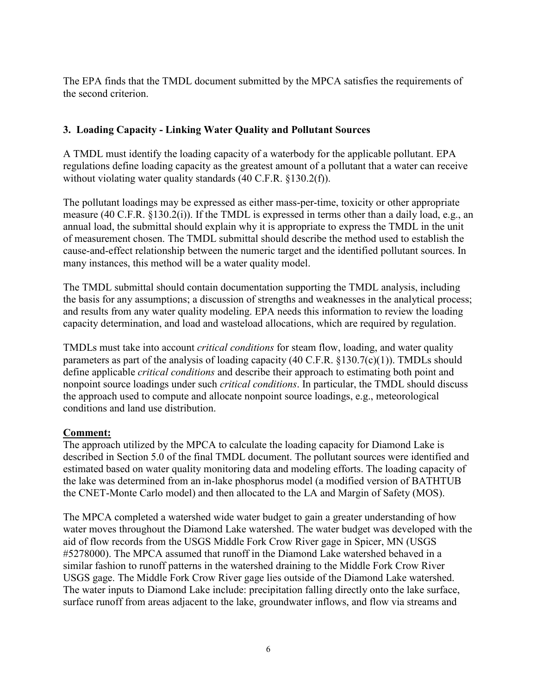The EPA finds that the TMDL document submitted by the MPCA satisfies the requirements of the second criterion.

# **3. Loading Capacity - Linking Water Quality and Pollutant Sources**

A TMDL must identify the loading capacity of a waterbody for the applicable pollutant. EPA regulations define loading capacity as the greatest amount of a pollutant that a water can receive without violating water quality standards (40 C.F.R. §130.2(f)).

The pollutant loadings may be expressed as either mass-per-time, toxicity or other appropriate measure (40 C.F.R. §130.2(i)). If the TMDL is expressed in terms other than a daily load, e.g., an annual load, the submittal should explain why it is appropriate to express the TMDL in the unit of measurement chosen. The TMDL submittal should describe the method used to establish the cause-and-effect relationship between the numeric target and the identified pollutant sources. In many instances, this method will be a water quality model.

The TMDL submittal should contain documentation supporting the TMDL analysis, including the basis for any assumptions; a discussion of strengths and weaknesses in the analytical process; and results from any water quality modeling. EPA needs this information to review the loading capacity determination, and load and wasteload allocations, which are required by regulation.

TMDLs must take into account *critical conditions* for steam flow, loading, and water quality parameters as part of the analysis of loading capacity  $(40 \text{ C.F.R. } §130.7(c)(1))$ . TMDLs should define applicable *critical conditions* and describe their approach to estimating both point and nonpoint source loadings under such *critical conditions*. In particular, the TMDL should discuss the approach used to compute and allocate nonpoint source loadings, e.g., meteorological conditions and land use distribution.

# **Comment:**

The approach utilized by the MPCA to calculate the loading capacity for Diamond Lake is described in Section 5.0 of the final TMDL document. The pollutant sources were identified and estimated based on water quality monitoring data and modeling efforts. The loading capacity of the lake was determined from an in-lake phosphorus model (a modified version of BATHTUB the CNET-Monte Carlo model) and then allocated to the LA and Margin of Safety (MOS).

The MPCA completed a watershed wide water budget to gain a greater understanding of how water moves throughout the Diamond Lake watershed. The water budget was developed with the aid of flow records from the USGS Middle Fork Crow River gage in Spicer, MN (USGS #5278000). The MPCA assumed that runoff in the Diamond Lake watershed behaved in a similar fashion to runoff patterns in the watershed draining to the Middle Fork Crow River USGS gage. The Middle Fork Crow River gage lies outside of the Diamond Lake watershed. The water inputs to Diamond Lake include: precipitation falling directly onto the lake surface, surface runoff from areas adjacent to the lake, groundwater inflows, and flow via streams and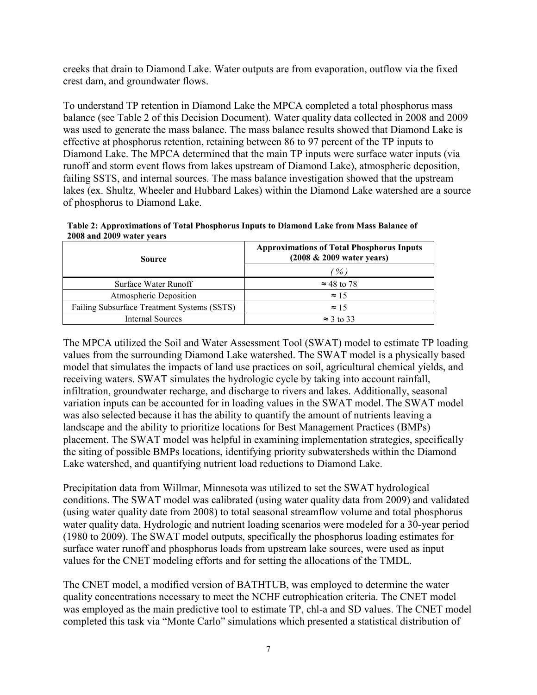creeks that drain to Diamond Lake. Water outputs are from evaporation, outflow via the fixed crest dam, and groundwater flows.

To understand TP retention in Diamond Lake the MPCA completed a total phosphorus mass balance (see Table 2 of this Decision Document). Water quality data collected in 2008 and 2009 was used to generate the mass balance. The mass balance results showed that Diamond Lake is effective at phosphorus retention, retaining between 86 to 97 percent of the TP inputs to Diamond Lake. The MPCA determined that the main TP inputs were surface water inputs (via runoff and storm event flows from lakes upstream of Diamond Lake), atmospheric deposition, failing SSTS, and internal sources. The mass balance investigation showed that the upstream lakes (ex. Shultz, Wheeler and Hubbard Lakes) within the Diamond Lake watershed are a source of phosphorus to Diamond Lake.

| Table 2: Approximations of Total Phosphorus Inputs to Diamond Lake from Mass Balance of |
|-----------------------------------------------------------------------------------------|
| 2008 and 2009 water years                                                               |

| <b>Source</b>                               | <b>Approximations of Total Phosphorus Inputs</b><br>$(2008 \& 2009 \text{ water years})$ |  |  |  |
|---------------------------------------------|------------------------------------------------------------------------------------------|--|--|--|
|                                             | $\mathscr{V}_o$ )                                                                        |  |  |  |
| Surface Water Runoff                        | $\approx$ 48 to 78                                                                       |  |  |  |
| Atmospheric Deposition                      | $\approx 15$                                                                             |  |  |  |
| Failing Subsurface Treatment Systems (SSTS) | $\approx$ 15                                                                             |  |  |  |
| <b>Internal Sources</b>                     | $\approx$ 3 to 33                                                                        |  |  |  |

The MPCA utilized the Soil and Water Assessment Tool (SWAT) model to estimate TP loading values from the surrounding Diamond Lake watershed. The SWAT model is a physically based model that simulates the impacts of land use practices on soil, agricultural chemical yields, and receiving waters. SWAT simulates the hydrologic cycle by taking into account rainfall, infiltration, groundwater recharge, and discharge to rivers and lakes. Additionally, seasonal variation inputs can be accounted for in loading values in the SWAT model. The SWAT model was also selected because it has the ability to quantify the amount of nutrients leaving a landscape and the ability to prioritize locations for Best Management Practices (BMPs) placement. The SWAT model was helpful in examining implementation strategies, specifically the siting of possible BMPs locations, identifying priority subwatersheds within the Diamond Lake watershed, and quantifying nutrient load reductions to Diamond Lake.

Precipitation data from Willmar, Minnesota was utilized to set the SWAT hydrological conditions. The SWAT model was calibrated (using water quality data from 2009) and validated (using water quality date from 2008) to total seasonal streamflow volume and total phosphorus water quality data. Hydrologic and nutrient loading scenarios were modeled for a 30-year period (1980 to 2009). The SWAT model outputs, specifically the phosphorus loading estimates for surface water runoff and phosphorus loads from upstream lake sources, were used as input values for the CNET modeling efforts and for setting the allocations of the TMDL.

The CNET model, a modified version of BATHTUB, was employed to determine the water quality concentrations necessary to meet the NCHF eutrophication criteria. The CNET model was employed as the main predictive tool to estimate TP, chl-a and SD values. The CNET model completed this task via "Monte Carlo" simulations which presented a statistical distribution of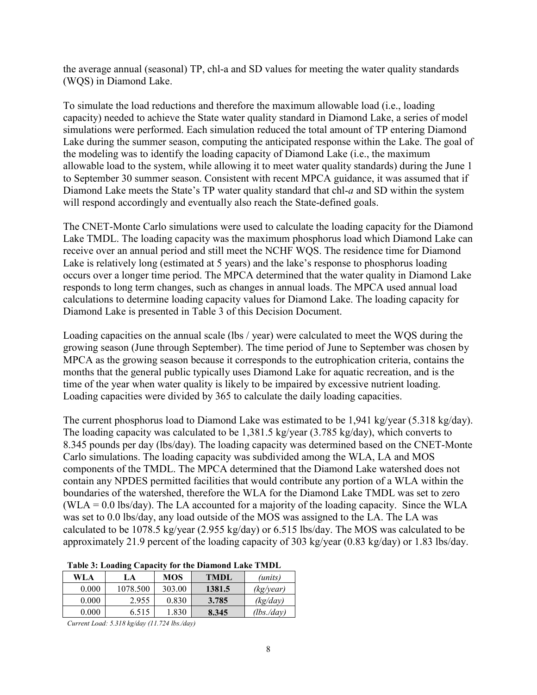the average annual (seasonal) TP, chl-a and SD values for meeting the water quality standards (WQS) in Diamond Lake.

To simulate the load reductions and therefore the maximum allowable load (i.e., loading capacity) needed to achieve the State water quality standard in Diamond Lake, a series of model simulations were performed. Each simulation reduced the total amount of TP entering Diamond Lake during the summer season, computing the anticipated response within the Lake. The goal of the modeling was to identify the loading capacity of Diamond Lake (i.e., the maximum allowable load to the system, while allowing it to meet water quality standards) during the June 1 to September 30 summer season. Consistent with recent MPCA guidance, it was assumed that if Diamond Lake meets the State's TP water quality standard that chl-*a* and SD within the system will respond accordingly and eventually also reach the State-defined goals.

The CNET-Monte Carlo simulations were used to calculate the loading capacity for the Diamond Lake TMDL. The loading capacity was the maximum phosphorus load which Diamond Lake can receive over an annual period and still meet the NCHF WQS. The residence time for Diamond Lake is relatively long (estimated at 5 years) and the lake's response to phosphorus loading occurs over a longer time period. The MPCA determined that the water quality in Diamond Lake responds to long term changes, such as changes in annual loads. The MPCA used annual load calculations to determine loading capacity values for Diamond Lake. The loading capacity for Diamond Lake is presented in Table 3 of this Decision Document.

Loading capacities on the annual scale (lbs / year) were calculated to meet the WQS during the growing season (June through September). The time period of June to September was chosen by MPCA as the growing season because it corresponds to the eutrophication criteria, contains the months that the general public typically uses Diamond Lake for aquatic recreation, and is the time of the year when water quality is likely to be impaired by excessive nutrient loading. Loading capacities were divided by 365 to calculate the daily loading capacities.

The current phosphorus load to Diamond Lake was estimated to be 1,941 kg/year (5.318 kg/day). The loading capacity was calculated to be 1,381.5 kg/year (3.785 kg/day), which converts to 8.345 pounds per day (lbs/day). The loading capacity was determined based on the CNET-Monte Carlo simulations. The loading capacity was subdivided among the WLA, LA and MOS components of the TMDL. The MPCA determined that the Diamond Lake watershed does not contain any NPDES permitted facilities that would contribute any portion of a WLA within the boundaries of the watershed, therefore the WLA for the Diamond Lake TMDL was set to zero (WLA = 0.0 lbs/day). The LA accounted for a majority of the loading capacity. Since the WLA was set to 0.0 lbs/day, any load outside of the MOS was assigned to the LA. The LA was calculated to be 1078.5 kg/year (2.955 kg/day) or 6.515 lbs/day. The MOS was calculated to be approximately 21.9 percent of the loading capacity of 303 kg/year (0.83 kg/day) or 1.83 lbs/day.

| Table 5: Loading Capacity for the Diamond Lake TwiDL |          |            |             |               |  |  |
|------------------------------------------------------|----------|------------|-------------|---------------|--|--|
| <b>WLA</b>                                           | LA       | <b>MOS</b> | <b>TMDL</b> | (units)       |  |  |
| 0.000                                                | 1078.500 | 303.00     | 1381.5      | (kg/year)     |  |  |
| 0.000                                                | 2.955    | 0.830      | 3.785       | (kg/day)      |  |  |
| 0.000                                                | 6.515    | 1.830      | 8.345       | $(lbs.$ /day) |  |  |

# **Table 3: Loading Capacity for the Diamond Lake TMDL**

*Current Load: 5.318 kg/day (11.724 lbs./day)*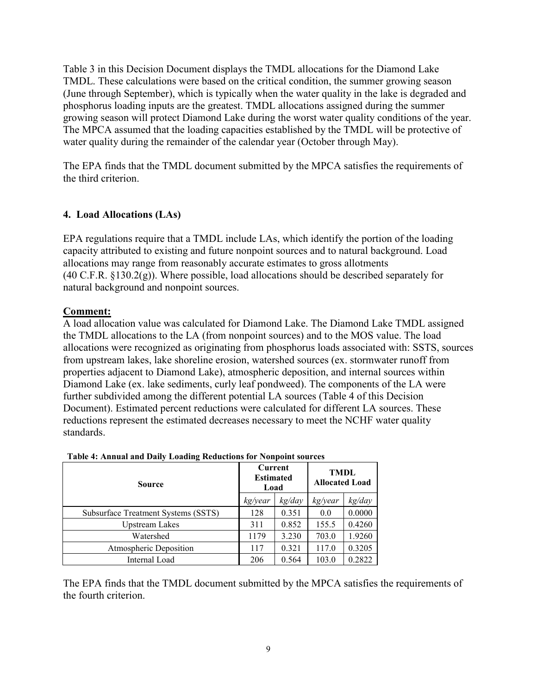Table 3 in this Decision Document displays the TMDL allocations for the Diamond Lake TMDL. These calculations were based on the critical condition, the summer growing season (June through September), which is typically when the water quality in the lake is degraded and phosphorus loading inputs are the greatest. TMDL allocations assigned during the summer growing season will protect Diamond Lake during the worst water quality conditions of the year. The MPCA assumed that the loading capacities established by the TMDL will be protective of water quality during the remainder of the calendar year (October through May).

The EPA finds that the TMDL document submitted by the MPCA satisfies the requirements of the third criterion.

# **4. Load Allocations (LAs)**

EPA regulations require that a TMDL include LAs, which identify the portion of the loading capacity attributed to existing and future nonpoint sources and to natural background. Load allocations may range from reasonably accurate estimates to gross allotments (40 C.F.R. §130.2(g)). Where possible, load allocations should be described separately for natural background and nonpoint sources.

### **Comment:**

A load allocation value was calculated for Diamond Lake. The Diamond Lake TMDL assigned the TMDL allocations to the LA (from nonpoint sources) and to the MOS value. The load allocations were recognized as originating from phosphorus loads associated with: SSTS, sources from upstream lakes, lake shoreline erosion, watershed sources (ex. stormwater runoff from properties adjacent to Diamond Lake), atmospheric deposition, and internal sources within Diamond Lake (ex. lake sediments, curly leaf pondweed). The components of the LA were further subdivided among the different potential LA sources (Table 4 of this Decision Document). Estimated percent reductions were calculated for different LA sources. These reductions represent the estimated decreases necessary to meet the NCHF water quality standards.

| <b>Source</b>                       | Current<br><b>Estimated</b><br>Load |        | <b>TMDL</b><br><b>Allocated Load</b> |        |
|-------------------------------------|-------------------------------------|--------|--------------------------------------|--------|
|                                     | kg/year                             | kg/day | kg/year                              | kg/day |
| Subsurface Treatment Systems (SSTS) | 128                                 | 0.351  | 0.0                                  | 0.0000 |
| <b>Upstream Lakes</b>               | 311                                 | 0.852  | 155.5                                | 0.4260 |
| Watershed                           | 1179                                | 3.230  | 703.0                                | 1.9260 |
| Atmospheric Deposition              | 117                                 | 0.321  | 117.0                                | 0.3205 |
| Internal Load                       | 206                                 | 0.564  | 103.0                                | 0.2822 |

### **Table 4: Annual and Daily Loading Reductions for Nonpoint sources**

The EPA finds that the TMDL document submitted by the MPCA satisfies the requirements of the fourth criterion.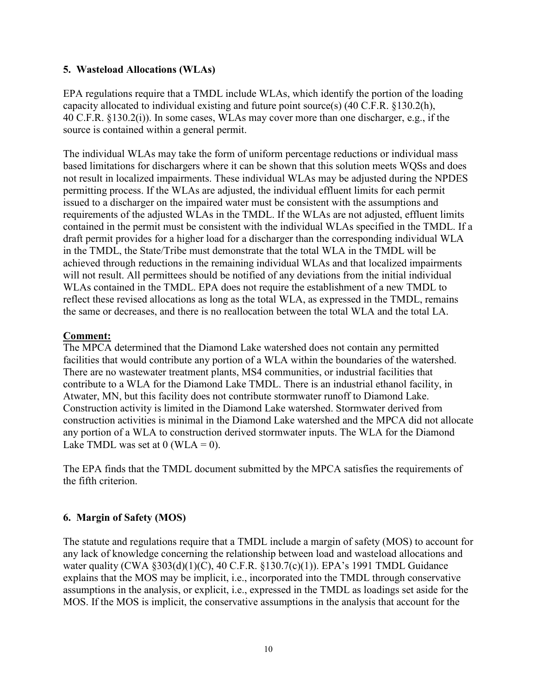### **5. Wasteload Allocations (WLAs)**

EPA regulations require that a TMDL include WLAs, which identify the portion of the loading capacity allocated to individual existing and future point source(s) (40 C.F.R. §130.2(h), 40 C.F.R. §130.2(i)). In some cases, WLAs may cover more than one discharger, e.g., if the source is contained within a general permit.

The individual WLAs may take the form of uniform percentage reductions or individual mass based limitations for dischargers where it can be shown that this solution meets WQSs and does not result in localized impairments. These individual WLAs may be adjusted during the NPDES permitting process. If the WLAs are adjusted, the individual effluent limits for each permit issued to a discharger on the impaired water must be consistent with the assumptions and requirements of the adjusted WLAs in the TMDL. If the WLAs are not adjusted, effluent limits contained in the permit must be consistent with the individual WLAs specified in the TMDL. If a draft permit provides for a higher load for a discharger than the corresponding individual WLA in the TMDL, the State/Tribe must demonstrate that the total WLA in the TMDL will be achieved through reductions in the remaining individual WLAs and that localized impairments will not result. All permittees should be notified of any deviations from the initial individual WLAs contained in the TMDL. EPA does not require the establishment of a new TMDL to reflect these revised allocations as long as the total WLA, as expressed in the TMDL, remains the same or decreases, and there is no reallocation between the total WLA and the total LA.

### **Comment:**

The MPCA determined that the Diamond Lake watershed does not contain any permitted facilities that would contribute any portion of a WLA within the boundaries of the watershed. There are no wastewater treatment plants, MS4 communities, or industrial facilities that contribute to a WLA for the Diamond Lake TMDL. There is an industrial ethanol facility, in Atwater, MN, but this facility does not contribute stormwater runoff to Diamond Lake. Construction activity is limited in the Diamond Lake watershed. Stormwater derived from construction activities is minimal in the Diamond Lake watershed and the MPCA did not allocate any portion of a WLA to construction derived stormwater inputs. The WLA for the Diamond Lake TMDL was set at  $0$  (WLA = 0).

The EPA finds that the TMDL document submitted by the MPCA satisfies the requirements of the fifth criterion.

# **6. Margin of Safety (MOS)**

The statute and regulations require that a TMDL include a margin of safety (MOS) to account for any lack of knowledge concerning the relationship between load and wasteload allocations and water quality (CWA §303(d)(1)(C), 40 C.F.R. §130.7(c)(1)). EPA's 1991 TMDL Guidance explains that the MOS may be implicit, i.e., incorporated into the TMDL through conservative assumptions in the analysis, or explicit, i.e., expressed in the TMDL as loadings set aside for the MOS. If the MOS is implicit, the conservative assumptions in the analysis that account for the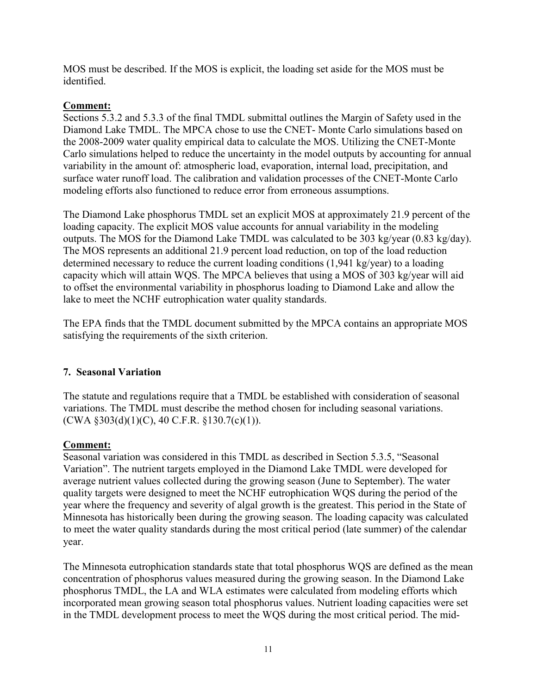MOS must be described. If the MOS is explicit, the loading set aside for the MOS must be identified.

# **Comment:**

Sections 5.3.2 and 5.3.3 of the final TMDL submittal outlines the Margin of Safety used in the Diamond Lake TMDL. The MPCA chose to use the CNET- Monte Carlo simulations based on the 2008-2009 water quality empirical data to calculate the MOS. Utilizing the CNET-Monte Carlo simulations helped to reduce the uncertainty in the model outputs by accounting for annual variability in the amount of: atmospheric load, evaporation, internal load, precipitation, and surface water runoff load. The calibration and validation processes of the CNET-Monte Carlo modeling efforts also functioned to reduce error from erroneous assumptions.

The Diamond Lake phosphorus TMDL set an explicit MOS at approximately 21.9 percent of the loading capacity. The explicit MOS value accounts for annual variability in the modeling outputs. The MOS for the Diamond Lake TMDL was calculated to be 303 kg/year (0.83 kg/day). The MOS represents an additional 21.9 percent load reduction, on top of the load reduction determined necessary to reduce the current loading conditions (1,941 kg/year) to a loading capacity which will attain WQS. The MPCA believes that using a MOS of 303 kg/year will aid to offset the environmental variability in phosphorus loading to Diamond Lake and allow the lake to meet the NCHF eutrophication water quality standards.

The EPA finds that the TMDL document submitted by the MPCA contains an appropriate MOS satisfying the requirements of the sixth criterion.

# **7. Seasonal Variation**

The statute and regulations require that a TMDL be established with consideration of seasonal variations. The TMDL must describe the method chosen for including seasonal variations.  $(CWA §303(d)(1)(C), 40 C.F.R. §130.7(c)(1)).$ 

# **Comment:**

Seasonal variation was considered in this TMDL as described in Section 5.3.5, "Seasonal Variation". The nutrient targets employed in the Diamond Lake TMDL were developed for average nutrient values collected during the growing season (June to September). The water quality targets were designed to meet the NCHF eutrophication WQS during the period of the year where the frequency and severity of algal growth is the greatest. This period in the State of Minnesota has historically been during the growing season. The loading capacity was calculated to meet the water quality standards during the most critical period (late summer) of the calendar year.

The Minnesota eutrophication standards state that total phosphorus WQS are defined as the mean concentration of phosphorus values measured during the growing season. In the Diamond Lake phosphorus TMDL, the LA and WLA estimates were calculated from modeling efforts which incorporated mean growing season total phosphorus values. Nutrient loading capacities were set in the TMDL development process to meet the WQS during the most critical period. The mid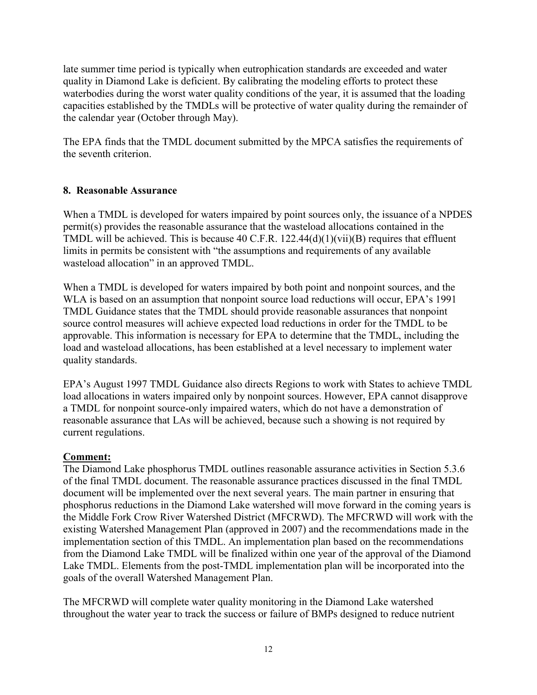late summer time period is typically when eutrophication standards are exceeded and water quality in Diamond Lake is deficient. By calibrating the modeling efforts to protect these waterbodies during the worst water quality conditions of the year, it is assumed that the loading capacities established by the TMDLs will be protective of water quality during the remainder of the calendar year (October through May).

The EPA finds that the TMDL document submitted by the MPCA satisfies the requirements of the seventh criterion.

# **8. Reasonable Assurance**

When a TMDL is developed for waters impaired by point sources only, the issuance of a NPDES permit(s) provides the reasonable assurance that the wasteload allocations contained in the TMDL will be achieved. This is because 40 C.F.R. 122.44(d)(1)(vii)(B) requires that effluent limits in permits be consistent with "the assumptions and requirements of any available wasteload allocation" in an approved TMDL.

When a TMDL is developed for waters impaired by both point and nonpoint sources, and the WLA is based on an assumption that nonpoint source load reductions will occur, EPA's 1991 TMDL Guidance states that the TMDL should provide reasonable assurances that nonpoint source control measures will achieve expected load reductions in order for the TMDL to be approvable. This information is necessary for EPA to determine that the TMDL, including the load and wasteload allocations, has been established at a level necessary to implement water quality standards.

EPA's August 1997 TMDL Guidance also directs Regions to work with States to achieve TMDL load allocations in waters impaired only by nonpoint sources. However, EPA cannot disapprove a TMDL for nonpoint source-only impaired waters, which do not have a demonstration of reasonable assurance that LAs will be achieved, because such a showing is not required by current regulations.

# **Comment:**

The Diamond Lake phosphorus TMDL outlines reasonable assurance activities in Section 5.3.6 of the final TMDL document. The reasonable assurance practices discussed in the final TMDL document will be implemented over the next several years. The main partner in ensuring that phosphorus reductions in the Diamond Lake watershed will move forward in the coming years is the Middle Fork Crow River Watershed District (MFCRWD). The MFCRWD will work with the existing Watershed Management Plan (approved in 2007) and the recommendations made in the implementation section of this TMDL. An implementation plan based on the recommendations from the Diamond Lake TMDL will be finalized within one year of the approval of the Diamond Lake TMDL. Elements from the post-TMDL implementation plan will be incorporated into the goals of the overall Watershed Management Plan.

The MFCRWD will complete water quality monitoring in the Diamond Lake watershed throughout the water year to track the success or failure of BMPs designed to reduce nutrient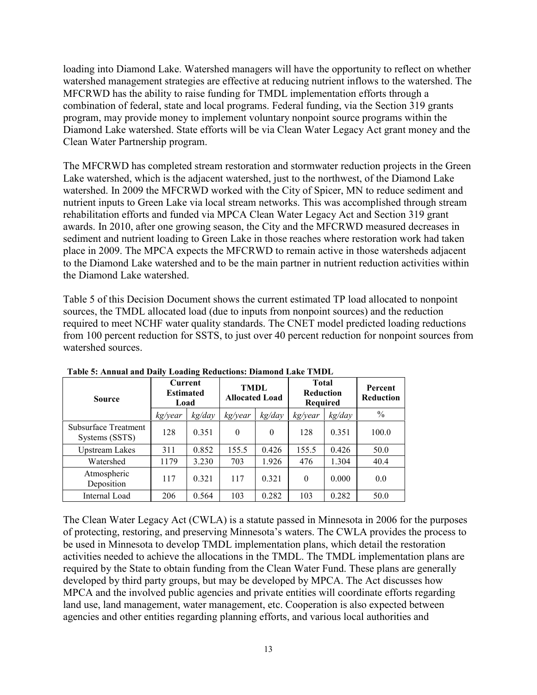loading into Diamond Lake. Watershed managers will have the opportunity to reflect on whether watershed management strategies are effective at reducing nutrient inflows to the watershed. The MFCRWD has the ability to raise funding for TMDL implementation efforts through a combination of federal, state and local programs. Federal funding, via the Section 319 grants program, may provide money to implement voluntary nonpoint source programs within the Diamond Lake watershed. State efforts will be via Clean Water Legacy Act grant money and the Clean Water Partnership program.

The MFCRWD has completed stream restoration and stormwater reduction projects in the Green Lake watershed, which is the adjacent watershed, just to the northwest, of the Diamond Lake watershed. In 2009 the MFCRWD worked with the City of Spicer, MN to reduce sediment and nutrient inputs to Green Lake via local stream networks. This was accomplished through stream rehabilitation efforts and funded via MPCA Clean Water Legacy Act and Section 319 grant awards. In 2010, after one growing season, the City and the MFCRWD measured decreases in sediment and nutrient loading to Green Lake in those reaches where restoration work had taken place in 2009. The MPCA expects the MFCRWD to remain active in those watersheds adjacent to the Diamond Lake watershed and to be the main partner in nutrient reduction activities within the Diamond Lake watershed.

Table 5 of this Decision Document shows the current estimated TP load allocated to nonpoint sources, the TMDL allocated load (due to inputs from nonpoint sources) and the reduction required to meet NCHF water quality standards. The CNET model predicted loading reductions from 100 percent reduction for SSTS, to just over 40 percent reduction for nonpoint sources from watershed sources.

| <b>Source</b>                          | <b>Current</b><br><b>Estimated</b><br>Load |        | <b>TMDL</b><br><b>Allocated Load</b> |          | <b>Total</b><br><b>Reduction</b><br><b>Required</b> |        | Percent<br><b>Reduction</b> |
|----------------------------------------|--------------------------------------------|--------|--------------------------------------|----------|-----------------------------------------------------|--------|-----------------------------|
|                                        | kg/year                                    | kg/day | kg/year                              | kg/day   | kg/year                                             | kg/day | $\%$                        |
| Subsurface Treatment<br>Systems (SSTS) | 128                                        | 0.351  | $\theta$                             | $\theta$ | 128                                                 | 0.351  | 100.0                       |
| <b>Upstream Lakes</b>                  | 311                                        | 0.852  | 155.5                                | 0.426    | 155.5                                               | 0.426  | 50.0                        |
| Watershed                              | 1179                                       | 3.230  | 703                                  | 1.926    | 476                                                 | 1.304  | 40.4                        |
| Atmospheric<br>Deposition              | 117                                        | 0.321  | 117                                  | 0.321    | $\theta$                                            | 0.000  | 0.0                         |
| Internal Load                          | 206                                        | 0.564  | 103                                  | 0.282    | 103                                                 | 0.282  | 50.0                        |

**Table 5: Annual and Daily Loading Reductions: Diamond Lake TMDL** 

The Clean Water Legacy Act (CWLA) is a statute passed in Minnesota in 2006 for the purposes of protecting, restoring, and preserving Minnesota's waters. The CWLA provides the process to be used in Minnesota to develop TMDL implementation plans, which detail the restoration activities needed to achieve the allocations in the TMDL. The TMDL implementation plans are required by the State to obtain funding from the Clean Water Fund. These plans are generally developed by third party groups, but may be developed by MPCA. The Act discusses how MPCA and the involved public agencies and private entities will coordinate efforts regarding land use, land management, water management, etc. Cooperation is also expected between agencies and other entities regarding planning efforts, and various local authorities and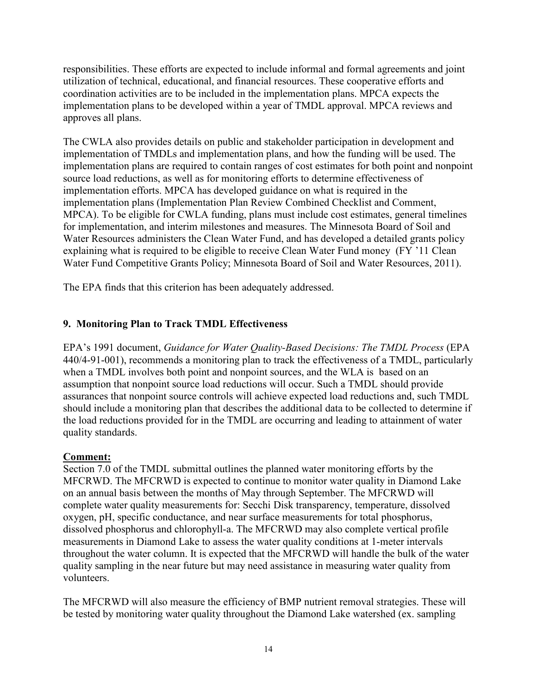responsibilities. These efforts are expected to include informal and formal agreements and joint utilization of technical, educational, and financial resources. These cooperative efforts and coordination activities are to be included in the implementation plans. MPCA expects the implementation plans to be developed within a year of TMDL approval. MPCA reviews and approves all plans.

The CWLA also provides details on public and stakeholder participation in development and implementation of TMDLs and implementation plans, and how the funding will be used. The implementation plans are required to contain ranges of cost estimates for both point and nonpoint source load reductions, as well as for monitoring efforts to determine effectiveness of implementation efforts. MPCA has developed guidance on what is required in the implementation plans (Implementation Plan Review Combined Checklist and Comment, MPCA). To be eligible for CWLA funding, plans must include cost estimates, general timelines for implementation, and interim milestones and measures. The Minnesota Board of Soil and Water Resources administers the Clean Water Fund, and has developed a detailed grants policy explaining what is required to be eligible to receive Clean Water Fund money (FY '11 Clean Water Fund Competitive Grants Policy; Minnesota Board of Soil and Water Resources, 2011).

The EPA finds that this criterion has been adequately addressed.

# **9. Monitoring Plan to Track TMDL Effectiveness**

EPA's 1991 document, *Guidance for Water Quality-Based Decisions: The TMDL Process* (EPA 440/4-91-001), recommends a monitoring plan to track the effectiveness of a TMDL, particularly when a TMDL involves both point and nonpoint sources, and the WLA is based on an assumption that nonpoint source load reductions will occur. Such a TMDL should provide assurances that nonpoint source controls will achieve expected load reductions and, such TMDL should include a monitoring plan that describes the additional data to be collected to determine if the load reductions provided for in the TMDL are occurring and leading to attainment of water quality standards.

# **Comment:**

Section 7.0 of the TMDL submittal outlines the planned water monitoring efforts by the MFCRWD. The MFCRWD is expected to continue to monitor water quality in Diamond Lake on an annual basis between the months of May through September. The MFCRWD will complete water quality measurements for: Secchi Disk transparency, temperature, dissolved oxygen, pH, specific conductance, and near surface measurements for total phosphorus, dissolved phosphorus and chlorophyll-a. The MFCRWD may also complete vertical profile measurements in Diamond Lake to assess the water quality conditions at 1-meter intervals throughout the water column. It is expected that the MFCRWD will handle the bulk of the water quality sampling in the near future but may need assistance in measuring water quality from volunteers.

The MFCRWD will also measure the efficiency of BMP nutrient removal strategies. These will be tested by monitoring water quality throughout the Diamond Lake watershed (ex. sampling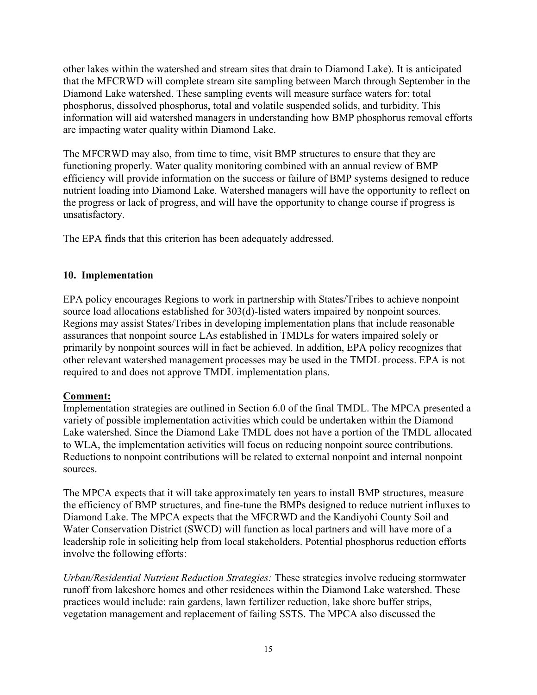other lakes within the watershed and stream sites that drain to Diamond Lake). It is anticipated that the MFCRWD will complete stream site sampling between March through September in the Diamond Lake watershed. These sampling events will measure surface waters for: total phosphorus, dissolved phosphorus, total and volatile suspended solids, and turbidity. This information will aid watershed managers in understanding how BMP phosphorus removal efforts are impacting water quality within Diamond Lake.

The MFCRWD may also, from time to time, visit BMP structures to ensure that they are functioning properly. Water quality monitoring combined with an annual review of BMP efficiency will provide information on the success or failure of BMP systems designed to reduce nutrient loading into Diamond Lake. Watershed managers will have the opportunity to reflect on the progress or lack of progress, and will have the opportunity to change course if progress is unsatisfactory.

The EPA finds that this criterion has been adequately addressed.

# **10. Implementation**

EPA policy encourages Regions to work in partnership with States/Tribes to achieve nonpoint source load allocations established for 303(d)-listed waters impaired by nonpoint sources. Regions may assist States/Tribes in developing implementation plans that include reasonable assurances that nonpoint source LAs established in TMDLs for waters impaired solely or primarily by nonpoint sources will in fact be achieved. In addition, EPA policy recognizes that other relevant watershed management processes may be used in the TMDL process. EPA is not required to and does not approve TMDL implementation plans.

# **Comment:**

Implementation strategies are outlined in Section 6.0 of the final TMDL. The MPCA presented a variety of possible implementation activities which could be undertaken within the Diamond Lake watershed. Since the Diamond Lake TMDL does not have a portion of the TMDL allocated to WLA, the implementation activities will focus on reducing nonpoint source contributions. Reductions to nonpoint contributions will be related to external nonpoint and internal nonpoint sources.

The MPCA expects that it will take approximately ten years to install BMP structures, measure the efficiency of BMP structures, and fine-tune the BMPs designed to reduce nutrient influxes to Diamond Lake. The MPCA expects that the MFCRWD and the Kandiyohi County Soil and Water Conservation District (SWCD) will function as local partners and will have more of a leadership role in soliciting help from local stakeholders. Potential phosphorus reduction efforts involve the following efforts:

*Urban/Residential Nutrient Reduction Strategies:* These strategies involve reducing stormwater runoff from lakeshore homes and other residences within the Diamond Lake watershed. These practices would include: rain gardens, lawn fertilizer reduction, lake shore buffer strips, vegetation management and replacement of failing SSTS. The MPCA also discussed the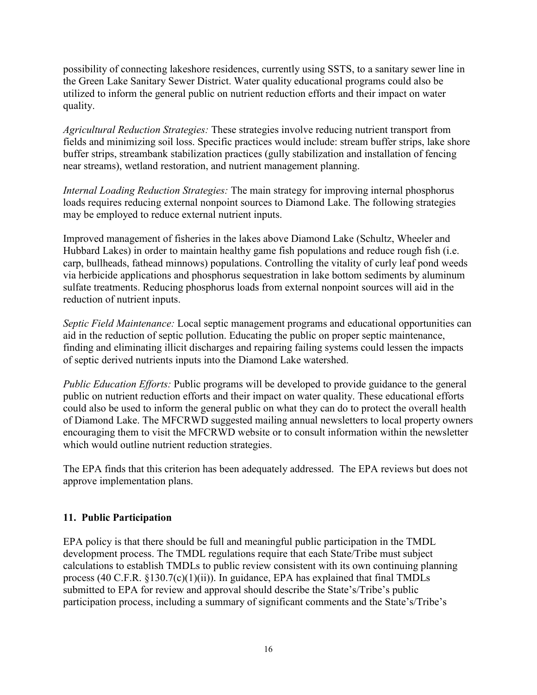possibility of connecting lakeshore residences, currently using SSTS, to a sanitary sewer line in the Green Lake Sanitary Sewer District. Water quality educational programs could also be utilized to inform the general public on nutrient reduction efforts and their impact on water quality.

*Agricultural Reduction Strategies:* These strategies involve reducing nutrient transport from fields and minimizing soil loss. Specific practices would include: stream buffer strips, lake shore buffer strips, streambank stabilization practices (gully stabilization and installation of fencing near streams), wetland restoration, and nutrient management planning.

*Internal Loading Reduction Strategies:* The main strategy for improving internal phosphorus loads requires reducing external nonpoint sources to Diamond Lake. The following strategies may be employed to reduce external nutrient inputs.

Improved management of fisheries in the lakes above Diamond Lake (Schultz, Wheeler and Hubbard Lakes) in order to maintain healthy game fish populations and reduce rough fish (i.e. carp, bullheads, fathead minnows) populations. Controlling the vitality of curly leaf pond weeds via herbicide applications and phosphorus sequestration in lake bottom sediments by aluminum sulfate treatments. Reducing phosphorus loads from external nonpoint sources will aid in the reduction of nutrient inputs.

*Septic Field Maintenance:* Local septic management programs and educational opportunities can aid in the reduction of septic pollution. Educating the public on proper septic maintenance, finding and eliminating illicit discharges and repairing failing systems could lessen the impacts of septic derived nutrients inputs into the Diamond Lake watershed.

*Public Education Efforts:* Public programs will be developed to provide guidance to the general public on nutrient reduction efforts and their impact on water quality. These educational efforts could also be used to inform the general public on what they can do to protect the overall health of Diamond Lake. The MFCRWD suggested mailing annual newsletters to local property owners encouraging them to visit the MFCRWD website or to consult information within the newsletter which would outline nutrient reduction strategies.

The EPA finds that this criterion has been adequately addressed. The EPA reviews but does not approve implementation plans.

# **11. Public Participation**

EPA policy is that there should be full and meaningful public participation in the TMDL development process. The TMDL regulations require that each State/Tribe must subject calculations to establish TMDLs to public review consistent with its own continuing planning process (40 C.F.R. §130.7(c)(1)(ii)). In guidance, EPA has explained that final TMDLs submitted to EPA for review and approval should describe the State's/Tribe's public participation process, including a summary of significant comments and the State's/Tribe's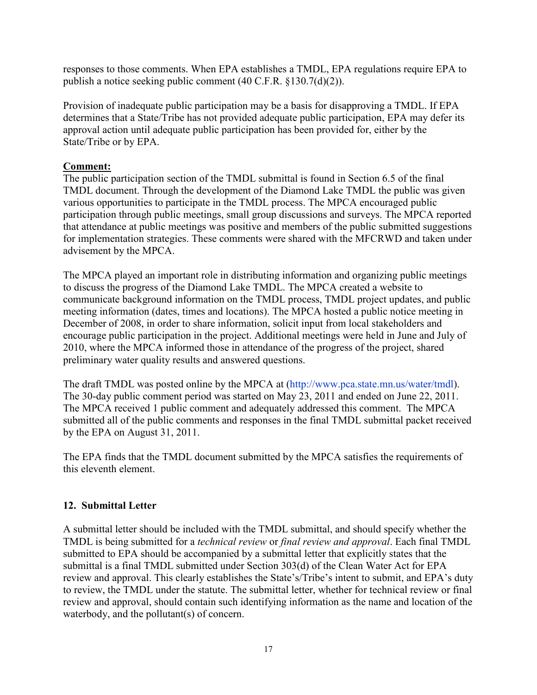responses to those comments. When EPA establishes a TMDL, EPA regulations require EPA to publish a notice seeking public comment (40 C.F.R. §130.7(d)(2)).

Provision of inadequate public participation may be a basis for disapproving a TMDL. If EPA determines that a State/Tribe has not provided adequate public participation, EPA may defer its approval action until adequate public participation has been provided for, either by the State/Tribe or by EPA.

# **Comment:**

The public participation section of the TMDL submittal is found in Section 6.5 of the final TMDL document. Through the development of the Diamond Lake TMDL the public was given various opportunities to participate in the TMDL process. The MPCA encouraged public participation through public meetings, small group discussions and surveys. The MPCA reported that attendance at public meetings was positive and members of the public submitted suggestions for implementation strategies. These comments were shared with the MFCRWD and taken under advisement by the MPCA.

The MPCA played an important role in distributing information and organizing public meetings to discuss the progress of the Diamond Lake TMDL. The MPCA created a website to communicate background information on the TMDL process, TMDL project updates, and public meeting information (dates, times and locations). The MPCA hosted a public notice meeting in December of 2008, in order to share information, solicit input from local stakeholders and encourage public participation in the project. Additional meetings were held in June and July of 2010, where the MPCA informed those in attendance of the progress of the project, shared preliminary water quality results and answered questions.

The draft TMDL was posted online by the MPCA at (http://www.pca.state.mn.us/water/tmdl). The 30-day public comment period was started on May 23, 2011 and ended on June 22, 2011. The MPCA received 1 public comment and adequately addressed this comment. The MPCA submitted all of the public comments and responses in the final TMDL submittal packet received by the EPA on August 31, 2011.

The EPA finds that the TMDL document submitted by the MPCA satisfies the requirements of this eleventh element.

# **12. Submittal Letter**

A submittal letter should be included with the TMDL submittal, and should specify whether the TMDL is being submitted for a *technical review* or *final review and approval*. Each final TMDL submitted to EPA should be accompanied by a submittal letter that explicitly states that the submittal is a final TMDL submitted under Section 303(d) of the Clean Water Act for EPA review and approval. This clearly establishes the State's/Tribe's intent to submit, and EPA's duty to review, the TMDL under the statute. The submittal letter, whether for technical review or final review and approval, should contain such identifying information as the name and location of the waterbody, and the pollutant(s) of concern.